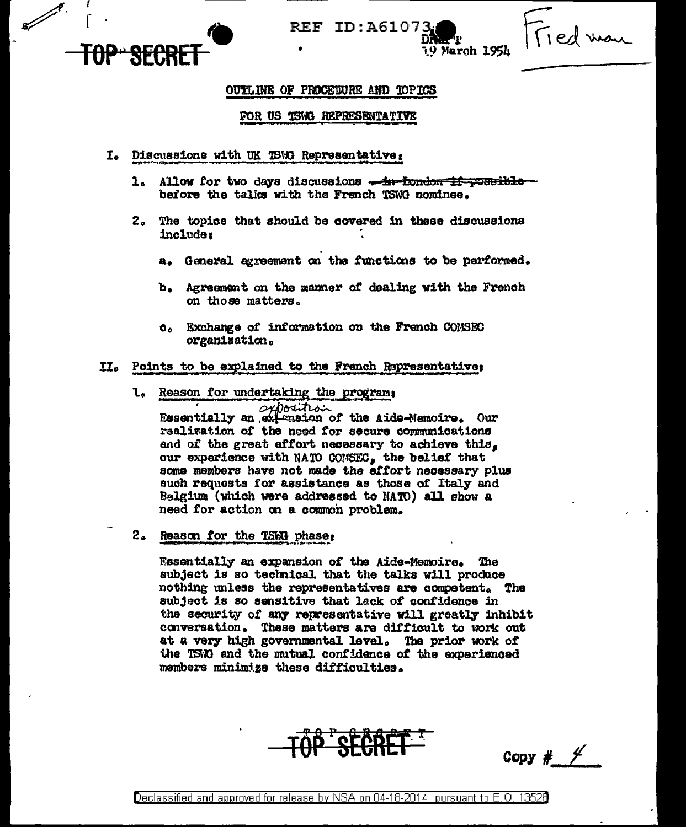

**REF ID:A61073** 

19 March 1954

## OUTLINE OF PROCEDURE AND TOPICS

### FOR US TSWG REPRESENTATIVE

- I. Discussions with UK TSWG Representative:
	- 1. Allow for two days discussions <del>. in London 1f possible</del> before the talks with the French TSWG nominee.
	- 2. The topics that should be covered in these discussions include:
		- a. General agreement on the functions to be performed.
		- b. Agreement on the manner of dealing with the French on those matters.
		- c. Exchange of information on the French COMSEC organization.

### II. Points to be explained to the French Representative:

1. Reason for undertaking the program;

seposition Essentially an extension of the Aide-Memoire. Our realization of the need for secure communications and of the great effort necessary to achieve this. our experience with NATO COMSEC, the belief that some members have not made the effort necessary plus such requests for assistance as those of Italy and Belgium (which were addressed to NATO) all show a need for action on a common problem.

2. Reason for the TSWG phase:

Essentially an expansion of the Aide-Memoire. The subject is so technical that the talks will produce nothing unless the representatives are competent. The subject is so sensitive that lack of confidence in the security of any representative will greatly inhibit conversation. These matters are difficult to work out at a very high governmental level. The prior work of the TSWG and the mutual confidence of the experienced members minimize these difficulties.



Copy #  $\frac{1}{2}$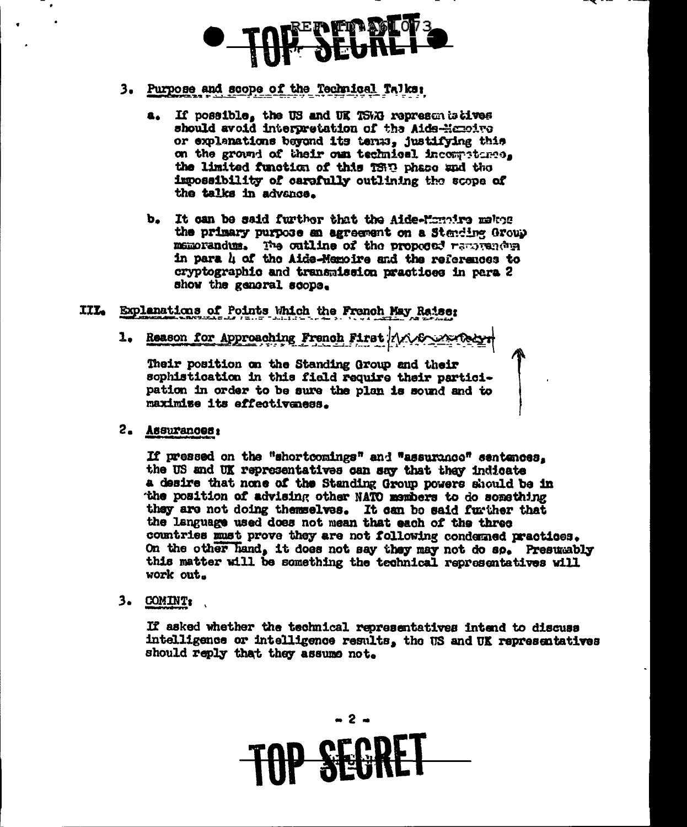# 3. Purpose and scope of the Technical Talks:

- a. If possible, the US and UK TSWI representatives<br>should avoid interpretation of the Aids-Hemoive or explanations beyond its terms, justifying this on the ground of their oun technical incompetence. the limited function of this 1880 phase and the impossibility of carefully outlining the scope of the talks in advance.
- b. It can be said further that the Aide-Mondre melton the primary purpose an agreement on a Stending Group memorandum. The cutline of the proposed removements in para h of the Aide-Memoire and the references to cryptographic and transmission practices in para 2 show the general scope.
- III. Explanations of Points Which the French May Raise;
	- 1. Reason for Approaching French First 1/1000

Their position on the Standing Group and their sophistication in this field require their participation in order to be sure the plan is sound and to maximize its effectiveness.

2. Assurances:

If pressed on the "shortcomings" and "assurance" sentences. the US and UK representatives can say that they indicate a desire that none of the Standing Group powers should be in the position of advising other NATO members to do something they are not doing themselves. It can be said further that the language used does not mean that each of the three countries must prove they are not following condemned practices. On the other hand, it does not say they may not do so. Presumably this matter will be something the technical representatives will work out.

 $3.$  COMINT:

If asked whether the technical representatives intend to discuss intelligence or intelligence results, the US and UK representatives should reply that they assume not.

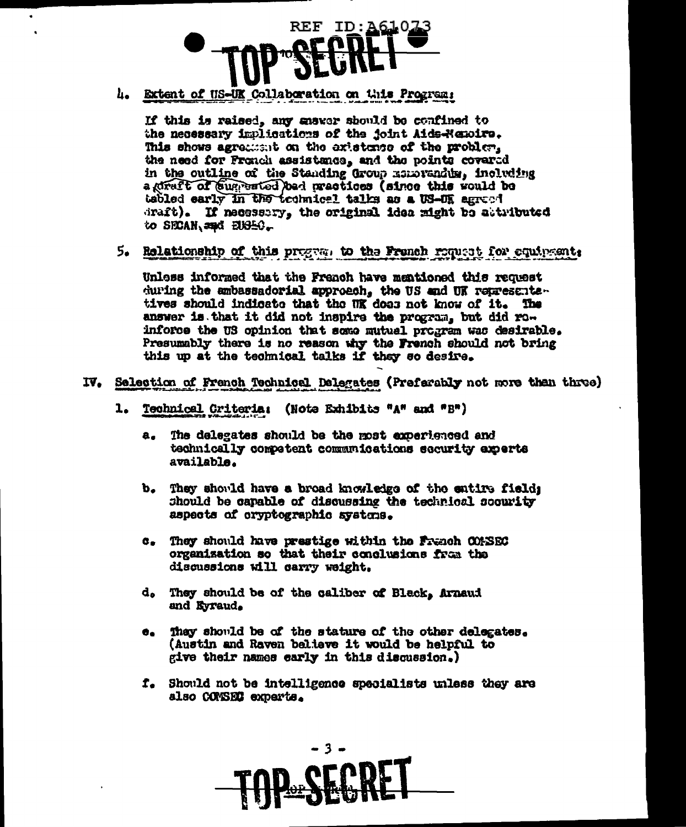

h. Extent of US-UK Collaboration on this Programs

If this is raised, any gaswer should be confined to the necessary implications of the joint Aids-Memoire. This shows agreement on the existence of the problem. the need for Fronch assistance, and the points covered in the outline of the Standing Group Reports including a direft of suggested bad mactices (since this would be tabled early in the technical talks as a US-UE agreed draft). If necessary, the original idea might be attributed to SECAN and EUSEC.

5. Relationship of this program to the French request for equipment:

Unless informed that the French have mentioned this request during the ambassadorial approach, the US and UK representantives should indicate that the UK does not know of it. The answer is that it did not inspire the program, but did roinforce the US opinion that some mutual program was desirable. Presumably there is no reason why the French should not bring this up at the technical talks if they so desire.

- IV. Selection of French Technical Dalegates (Preferably not more than three)
	- 1. Technical Criteria: (Note Exhibits "A" and "B")
		- $a<sub>z</sub>$ The delegates should be the most experienced and technically competent communications security experts available.
		- $\mathbf{b}_{\bullet}$ They should have a broad knowledge of the entire fields should be capable of discussing the technical socurity aspects of cryptographic systems.
		- c. They should have prestige within the Franch COMSEC organization so that their conclusions from the discussions will carry weight.
		- d. They should be of the caliber of Black, Arnaud and Eyraud.
		- They should be of the stature of the other delegates.  $\bullet$ . (Austin and Raven balieve it would be helpful to give their names early in this discussion.)
		- f. Should not be intelligence specialists unless they are also CONSEC experts.

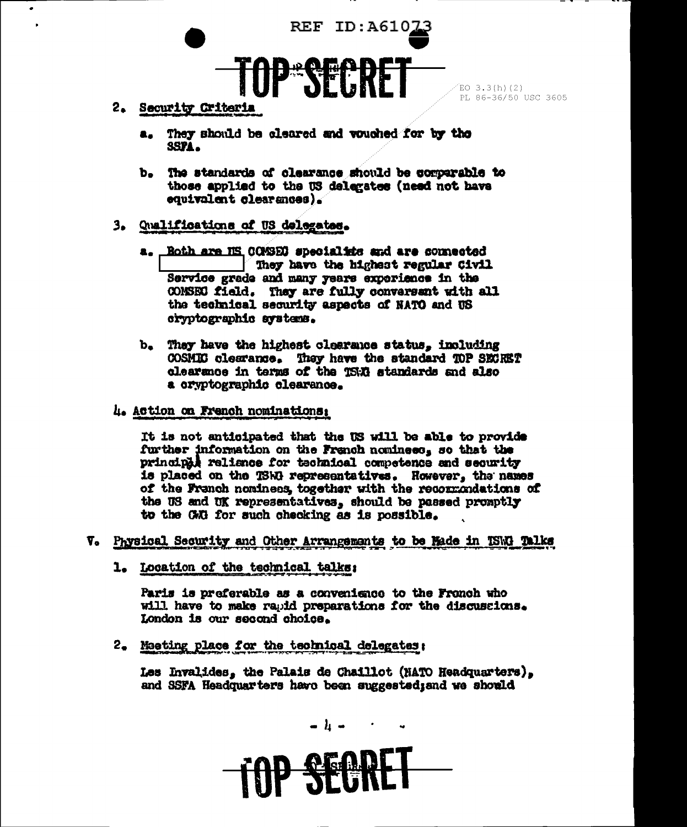

PL 86-36/50 USC 3605

- 2. Security Criteria
	- a. They should be cleared and vouched for by the SSPA.
	- b. The standards of clearance should be comparable to those applied to the US delegates (need not have equivalent clearences).

# 3. Qualifications of US delegates.

- a. Both are NS COMSEC specialists and are commected They have the highest regular Civil Service grade and many years experience in the COMSEC field. They are fully conversant with all the technical security aspects of NATO and US cryptographic systems.
- b. They have the highest clearance status, including COSMIC clearance. They have the standard TOP SECRET clearance in terms of the T5W standards and also a cryptographic clearance.
- 4. Action on French nominations:

It is not anticipated that the US will be able to provide further information on the French nominees, so that the principal reliance for technical competence and security is placed on the TSRR representatives. However, the names of the Franch noninees, together with the recommundations of the US and UK representatives, should be passed promptly to the GAG for such checking as is possible.

- V. Physical Security and Other Arrangements to be Made in TSW. Talks
	- 1. Location of the technical talks:

Paris is preferable as a convenience to the Fronch who will have to make rapid preparations for the discussions. London is our second choice.

2. Meeting place for the technical delegates:

Les Invalides, the Palais de Chaillot (NATO Headquarters), and SSFA Headquarters have been suggestediand we should

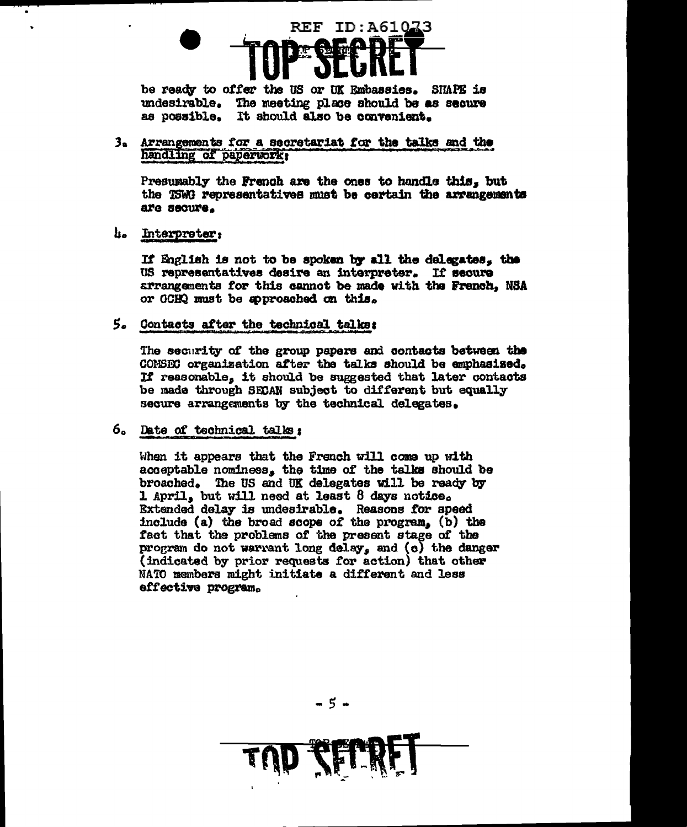# **REF ID:A61073**

be ready to offer the US or UK Embassies. SHAPE is undesirable. The meeting place should be as secure as possible. It should also be convenient.

3. Arrangements for a secretariat for the talks and the handling of paperwork;

Presumably the French are the ones to handle this, but the TSWG representatives must be certain the arrangements are secure.

4. Interpreter:

If English is not to be spoken by all the delegates, the US representatives desire an interpreter. If secure arrangements for this cannot be made with the French, NSA or GCHQ must be approached on this.

5. Contacts after the technical talks:

The security of the group papers and contacts between the CONSEC organization after the talks should be emphasised. If reasonable, it should be suggested that later contacts be made through SECAN subject to different but equally secure arrangements by the technical delegates.

### 6. Date of technical talks:

When it appears that the French will come up with acceptable nominees, the time of the talks should be broached. The US and UK delegates will be ready by 1 April, but will need at least 8 days notice. Extended delay is undesirable. Reasons for speed include (a) the broad scope of the program. (b) the fact that the problems of the present stage of the program do not warrant long delay, and (c) the danger (indicated by prior requests for action) that other NATO members might initiate a different and less effective program.

-5-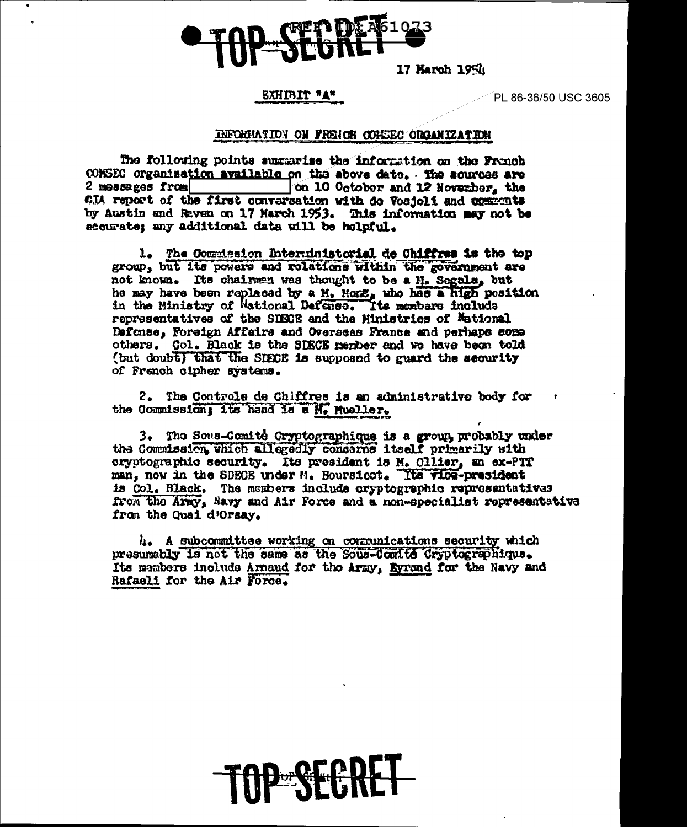

17 March 1954

# EXHIBIT "A"

PL 86-36/50 USC 3605

### INFORMATION ON FRENCH COMBEC ORGANIZATION

The following points summarise the information on the Franch CONSEC organization available on the above date. The sources are on 10 October and 12 Hovember, the 2 messages from CIA report of the first conversation with do Vosjoli and comments by Austin and Raven on 17 March 1953. This information may not be accurate; any additional data will be helpful.

1. The Commission Interninistorial de Chiffres is the top group, but its powers and rolations within the government are not known. Its chairman was thought to be a M. Segala, but<br>he may have been replaced by a M. Hong, who has a high position<br>in the Ministry of Mational Defense. Its members include representatives of the SIECE and the Ministries of Mational Dafense, Foreign Affairs and Overseas France and perhaps some others. Col. Black is the SDECE rember and we have been told (but doubt) that the SIECE is supposed to guard the security of French cipher systems.

2. The Controle de Chiffres is an administrative body for the Commission; its head is a M. Mueller.

3. The Sous-Comite Cryptographique is a group probably under the Commission, which allegedly concerns itself primarily with cryptographic security. Its president is M. Ollier, an ex-PTT man, now in the SDECE under M. Boursicot. The vice-president is Col. Black. The members include oryptographic representatives from the Army, Navy and Air Force and a non-specialist representative from the Quai d'Orsay.

 $l_i$ . A subcommittee working on communications security which presumably is not the same as the Sous-Comite Cryptographique. Its members include Armand for the Army, Eyrand for the Navy and Rafaeli for the Air Force.

**Dor Niel**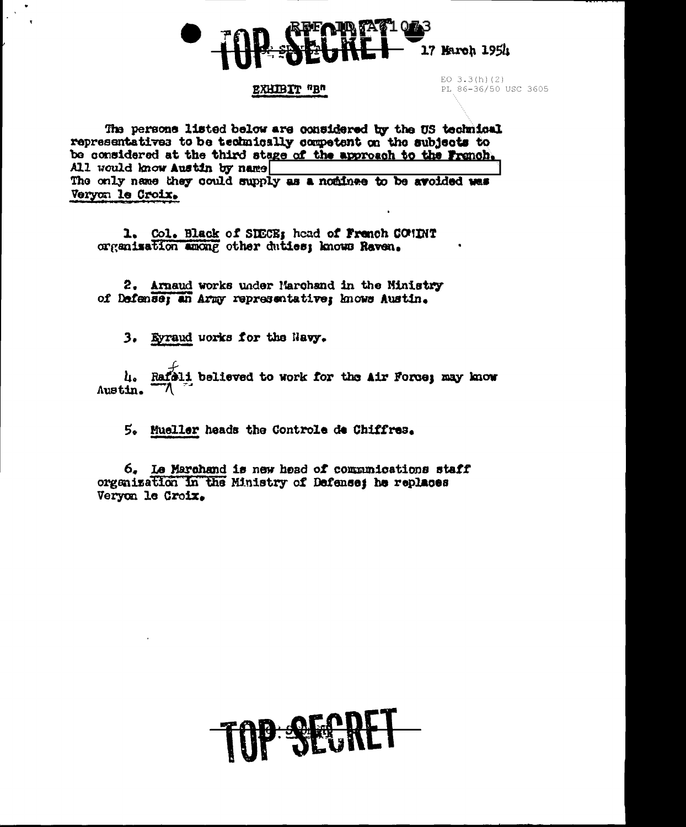

### EXHIBIT "B"

EO  $3.3(h)(2)$ PL 86-36/50 USC 3605

The persons listed below are considered by the US technical representatives to be technically competent on the subjects to be considered at the third stage of the approach to the Franch. All would know Austin by name The only name they could supply as a nominee to be avoided was Veryon le Croix.

1. Col. Black of SIECE; head of French COMINT organization among other duties; knows Raven.

2. Arnaud works under Marchand in the Ministry of Defense; an Army representative; knows Austin.

3. Evraud uorks for the Navy.

Rafali believed to work for the Air Force; may know u. Austin.

5. Mueller heads the Controle de Chiffres.

6. Le Marchand is new head of communications staff organization in the Ministry of Defense; he replaces Veryon le Croix.

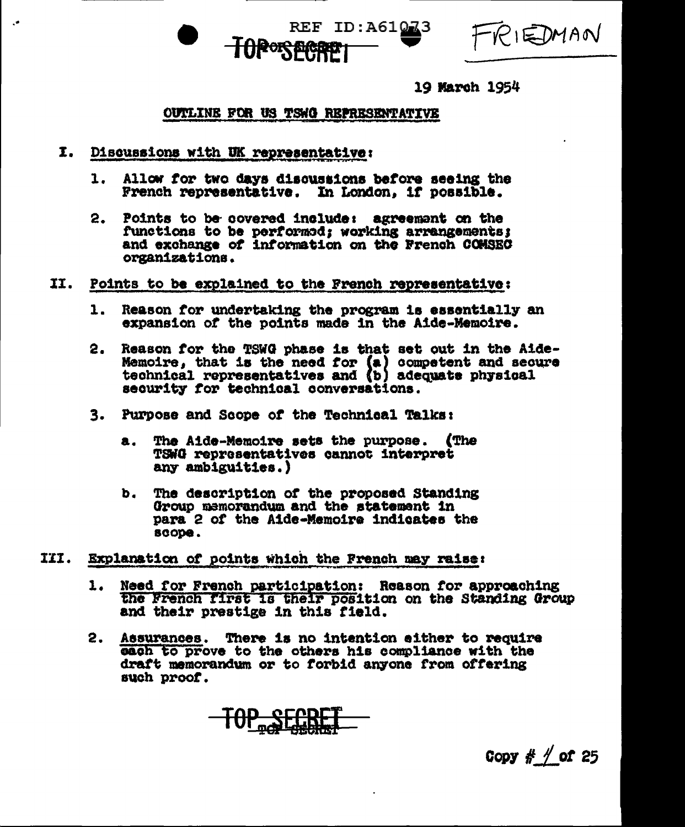

RIEDMAN

19 March 1954

# **OUTLINE FOR US TSWG REPRESENTATIVE**

- I. Discussions with UK representative:
	- Allow for two days discussions before seeing the 1. French representative. In London, if possible.
	- $2.$ Points to be covered include: agreement on the functions to be performed; working arrangements; and exchange of information on the French COMSEC organizations.
- II. Points to be explained to the French representative:
	- Reason for undertaking the program is essentially an  $\mathbf{1}$ . expansion of the points made in the Aide-Memoire.
	- 2. Reason for the TSWG phase is that set out in the Aide-Memoire, that is the need for (a) competent and secure<br>technical representatives and (b) adequate physical security for technical conversations.
	- 3. Purpose and Scope of the Technical Talks:
		- The Aide-Memoire sets the purpose. (The a. TSWG representatives cannot interpret any ambiguities.)
		- b. The description of the proposed Standing Group memorandum and the statement in para 2 of the Aide-Memoire indicates the scope.
- III. Explanation of points which the French may raise:
	- Need for French participation: Reason for approaching 1. the French first is their position on the Standing Group and their prestige in this field.
	- 2. Assurances. There is no intention either to require each to prove to the others his compliance with the draft memorandum or to forbid anyone from offering such proof.

Copy  $#$   $\neq$  of 25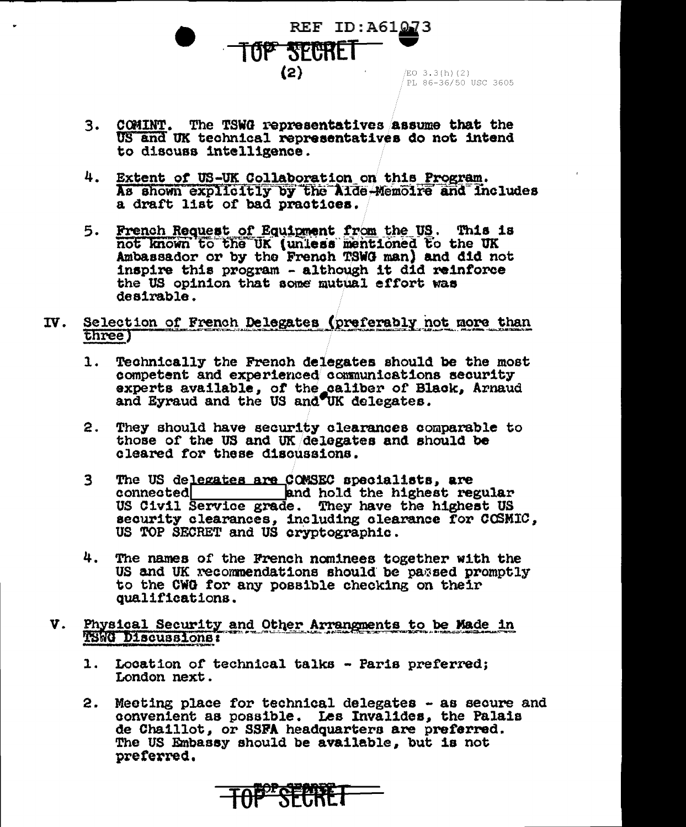REF ID:A61073  $(2)$ EO 3.3(h)(2) PL 86-36/50 USC 3605

- 3. COMINT. The TSWG representatives assume that the US and UK technical representatives do not intend to discuss intelligence.
- 4. Extent of US-UK Collaboration on this Program. As shown explicitly by the Aide-Memoire and includes a draft list of bad practices.
- French Request of Equipment from the US. This is 5. not known to the UK (unless mentioned to the UK Ambassador or by the French TSWG man) and did not inspire this program - although it did reinforce the US opinion that some mutual effort was  $d$ eairable.
- $IV.$ Selection of French Delegates (preferably not more than three)
	- $1.$ Technically the French delegates should be the most competent and experienced communications security experts available, of the caliber of Black, Arnaud and Eyraud and the US and UK delegates.
	- 2. They should have security clearances comparable to those of the US and UK delegates and should be cleared for these discussions.
	- $\mathbf{3}$ The US delegates are COMSEC specialists, are connected and hold the highest regular US Civil Service grade. They have the highest US security clearances, including clearance for COSMIC, US TOP SECRET and US cryptographic.
	- 4. The names of the French nominees together with the US and UK recommendations should be passed promptly to the CWG for any possible checking on their qualifications.
- V. Physical Security and Other Arrangments to be Made in TSWG Discussions:
	- 1. Location of technical talks Paris preferred; London next.
	- $2.$ Meeting place for technical delegates - as secure and convenient as possible. Les Invalides, the Palais de Chaillot, or SSFA headquarters are preferred. The US Embassy should be available, but is not preferred.

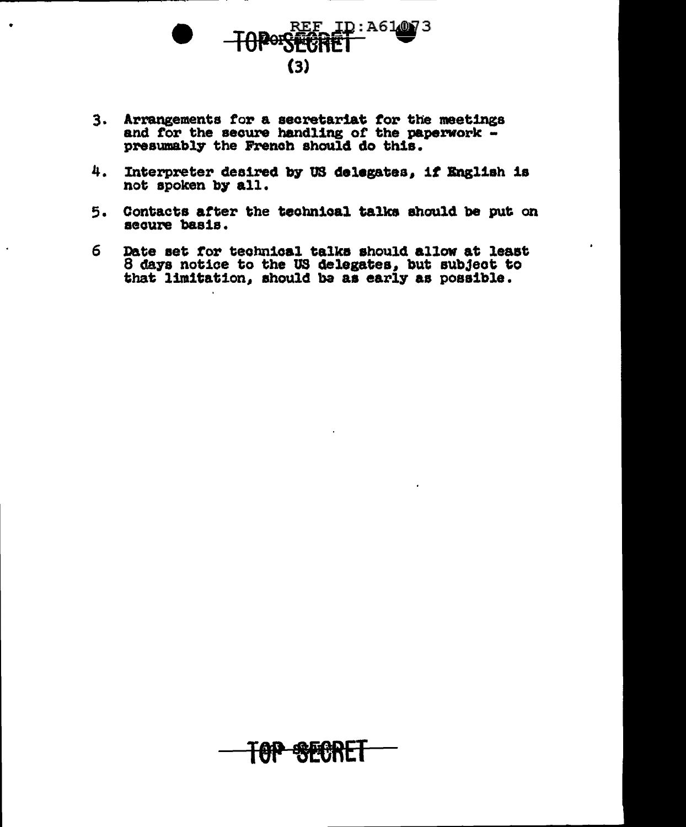

- 3. Arrangements for a secretariat for the meetings<br>and for the secure handling of the paperwork -<br>presumably the French should do this.
- Interpreter desired by US delegates, if English is 4. not spoken by all.
- 5. Contacts after the technical talks should be put on secure basis.
- Date set for technical talks should allow at least 6 8 days notice to the US delegates, but subject to that limitation, should be as early as possible.

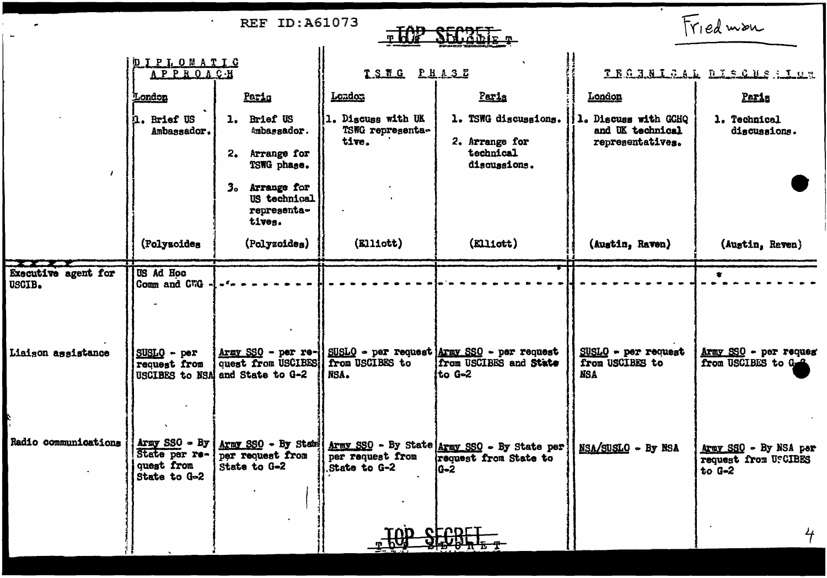| <b>REF ID: A61073</b><br><b>TOP</b><br>$SECSEF_{p}$ |                                                                |                                                                         |                                                  |                                                                                                       | Friedman                                                     |                                                           |
|-----------------------------------------------------|----------------------------------------------------------------|-------------------------------------------------------------------------|--------------------------------------------------|-------------------------------------------------------------------------------------------------------|--------------------------------------------------------------|-----------------------------------------------------------|
|                                                     | <b>DIPLOMATIC</b><br><b>APPROACH</b>                           |                                                                         | TSHG PHASE                                       |                                                                                                       | TEGANICAL DISQUESIUS                                         |                                                           |
|                                                     | <u>London</u>                                                  | Pario                                                                   | London                                           | Parls                                                                                                 | London                                                       | Paris                                                     |
|                                                     | il. Brief US<br>Ambassador.                                    | 1. Brief US<br>Ambassador.                                              | 11. Discuss with UK<br>TSWG representa-<br>tive. | 1. TSWG discussions.<br>2. Arrange for<br>technical<br>discussions.                                   | 1. Discuss with GCHQ<br>and UK technical<br>representatives. | 1. Technical<br>discussions.                              |
|                                                     |                                                                | Arrange for<br>2.<br>TSWG phase.                                        |                                                  |                                                                                                       |                                                              |                                                           |
|                                                     |                                                                | Arrange for<br>з.<br>US technical<br>representa-<br>tives.              |                                                  |                                                                                                       |                                                              |                                                           |
|                                                     | (Polyzoides                                                    | (Polyzoides)                                                            | $(R111$ ott)                                     | (Ell10tt)                                                                                             | (Austin, Raven)                                              | (Austin, Raven)                                           |
| Executive agent for<br>USCIB.                       | <b>US Ad Hoc</b><br>Comm and CWG                               |                                                                         |                                                  |                                                                                                       |                                                              |                                                           |
| Liaison assistance                                  | $SUBLQ - per$<br>request from                                  | quest from USCIBES   from USCIBES to<br>USCIBES to NSA and State to G-2 | NSA.                                             | Army SSO - per re-   SUSLO - per request Army SSO - per request<br>from USCIBES and State<br>ito G≈2  | $SUBLQ - per request$<br>from USCIBES to<br><b>NSA</b>       | Army SSO - per reques<br>from USCIBES to G. A             |
| Radio communications                                | Army $SSO - By$<br>State per re-<br>quest from<br>State to G-2 | per request from<br>State to G-2                                        | per request from<br>State to G-2                 | Army SSO - By State Army SSO - By State Army SSO - By State per ]<br>request from State to<br>$G - 2$ | NSA/SUSLO - By NSA                                           | Army SSO - By NSA per<br>request from USCIBES<br>to $G-2$ |
|                                                     |                                                                |                                                                         | <b>TOD</b>                                       | <b>CLODLI</b>                                                                                         |                                                              | 4 <sup>2</sup>                                            |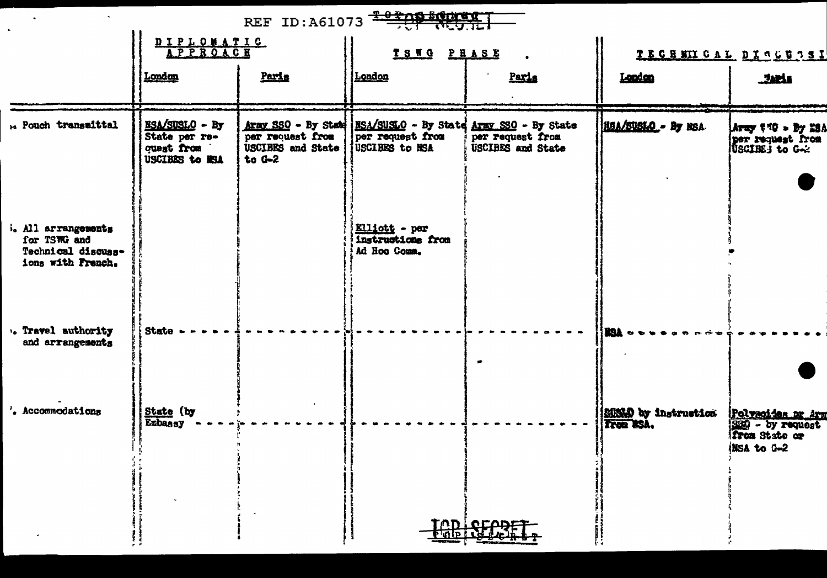| REF ID:A61073 2020 50000                                                              |                                                                        |                                                                 |                                                                                                      |                                       |                      |                                                                             |
|---------------------------------------------------------------------------------------|------------------------------------------------------------------------|-----------------------------------------------------------------|------------------------------------------------------------------------------------------------------|---------------------------------------|----------------------|-----------------------------------------------------------------------------|
|                                                                                       | DIPLOMATIC<br>APPROACH                                                 |                                                                 | TSWG PHASE                                                                                           |                                       | TECHMICAL DISCUSSI   |                                                                             |
|                                                                                       | London                                                                 | Paris                                                           | <u>  London</u>                                                                                      | Paris                                 | Landan               | عاهدي                                                                       |
| ** Pouch transmittal                                                                  | <b>NSA/SUSLO - By</b><br>State per re-<br>quest from<br>USCIBES to ESA | per request from<br><b>USCIBES</b> and State<br>$to \text{G}-2$ | Aray SSO - By State   MSA/SUSLO - By State Aray SSO - By State<br>per request from<br>USCIBES to NSA | per request from<br>USCIBES and State | HEA/SUSIO - By ESA   | Aray 170 - By 23A<br>per request from<br>USCIRE i to G-2                    |
| <i>i. All arrangements</i><br>for TSWG and<br>Technical discuss-<br>ions with French. |                                                                        |                                                                 | Elliott - per<br>instructions from<br>Ad Hoo Comm.                                                   |                                       |                      |                                                                             |
| . Travel authority<br>and arrangements                                                | State                                                                  |                                                                 |                                                                                                      |                                       | roa                  |                                                                             |
| '. Accommodations                                                                     | State (by<br>Embassy                                                   |                                                                 |                                                                                                      |                                       | SHALD by instruction | Pelvacides or Arm<br>330 - by request<br><b>from State or</b><br>MSA to G-2 |
|                                                                                       |                                                                        |                                                                 |                                                                                                      | <b>TOD SEPPE</b>                      |                      |                                                                             |